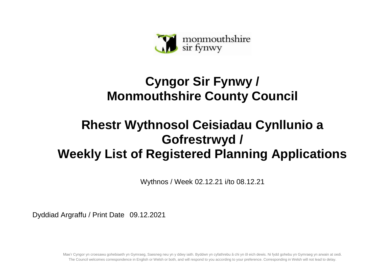

## **Cyngor Sir Fynwy / Monmouthshire County Council**

## **Rhestr Wythnosol Ceisiadau Cynllunio a Gofrestrwyd / Weekly List of Registered Planning Applications**

Wythnos / Week 02.12.21 i/to 08.12.21

Dyddiad Argraffu / Print Date 09.12.2021

Mae'r Cyngor yn croesawu gohebiaeth yn Gymraeg, Saesneg neu yn y ddwy iaith. Byddwn yn cyfathrebu â chi yn ôl eich dewis. Ni fydd gohebu yn Gymraeg yn arwain at oedi. The Council welcomes correspondence in English or Welsh or both, and will respond to you according to your preference. Corresponding in Welsh will not lead to delay.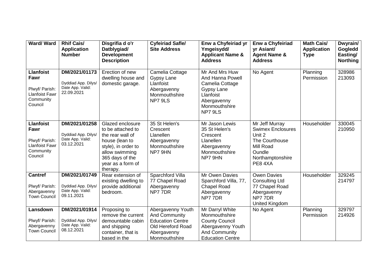| <b>Ward/Ward</b>                                                                            | <b>Rhif Cais/</b><br><b>Application</b><br><b>Number</b>               | Disgrifia d o'r<br>Datblygiad/<br><b>Development</b><br><b>Description</b>                                                                                               | <b>Cyfeiriad Safle/</b><br><b>Site Address</b>                                                                            | Enw a Chyfeiriad yr<br>Ymgeisydd/<br><b>Applicant Name &amp;</b><br><b>Address</b>                                                | Enw a Chyfeiriad<br>yr Asiant/<br><b>Agent Name &amp;</b><br><b>Address</b>                                                 | <b>Math Cais/</b><br><b>Application</b><br><b>Type</b> | Dwyrain/<br>Gogledd<br>Easting/<br><b>Northing</b> |
|---------------------------------------------------------------------------------------------|------------------------------------------------------------------------|--------------------------------------------------------------------------------------------------------------------------------------------------------------------------|---------------------------------------------------------------------------------------------------------------------------|-----------------------------------------------------------------------------------------------------------------------------------|-----------------------------------------------------------------------------------------------------------------------------|--------------------------------------------------------|----------------------------------------------------|
| <b>Llanfoist</b><br>Fawr<br>Plwyf/ Parish:<br><b>Llanfoist Fawr</b><br>Community<br>Council | DM/2021/01173<br>Dyddiad App. Dilys/<br>Date App. Valid:<br>22.09.2021 | Erection of new<br>dwelling house and<br>domestic garage.                                                                                                                | Camelia Cottage<br><b>Gypsy Lane</b><br>Llanfoist<br>Abergavenny<br>Monmouthshire<br>NP7 9LS                              | Mr And Mrs Huw<br>And Hanna Powell<br>Camelia Cottage<br>Gypsy Lane<br>Llanfoist<br>Abergavenny<br>Monmouthshire<br>NP7 9LS       | No Agent                                                                                                                    | Planning<br>Permission                                 | 328986<br>213093                                   |
| <b>Llanfoist</b><br>Fawr<br>Plwyf/ Parish:<br><b>Llanfoist Fawr</b><br>Community<br>Council | DM/2021/01258<br>Dyddiad App. Dilys/<br>Date App. Valid:<br>03.12.2021 | Glazed enclosure<br>to be attached to<br>the rear wall of<br>house (lean to<br>style), in order to<br>allow swimming<br>365 days of the<br>year as a form of<br>therapy. | 35 St Helen's<br>Crescent<br>Llanellen<br>Abergavenny<br>Monmouthshire<br>NP7 9HN                                         | Mr Jason Lewis<br>35 St Helen's<br>Crescent<br>Llanellen<br>Abergavenny<br>Monmouthshire<br>NP7 9HN                               | Mr Jeff Murray<br><b>Swimex Enclosures</b><br>Unit 2<br>The Courthouse<br>Mill Road<br>Oundle<br>Northamptonshire<br>PE84XA | Householder                                            | 330045<br>210950                                   |
| <b>Cantref</b><br>Plwyf/ Parish:<br>Abergavenny<br><b>Town Council</b>                      | DM/2021/01749<br>Dyddiad App. Dilys/<br>Date App. Valid:<br>09.11.2021 | Rear extension of<br>existing dwelling to<br>provide additional<br>bedroom.                                                                                              | Sparchford Villa<br>77 Chapel Road<br>Abergavenny<br>NP77DR                                                               | Mr Owen Davies<br>Sparchford Villa, 77,<br><b>Chapel Road</b><br>Abergavenny<br>NP7 7DR                                           | <b>Owen Davies</b><br><b>Consulting Ltd</b><br>77 Chapel Road<br>Abergavenny<br>NP77DR<br>United Kingdom                    | Householder                                            | 329245<br>214797                                   |
| Lansdown<br>Plwyf/ Parish:<br>Abergavenny<br><b>Town Council</b>                            | DM/2021/01914<br>Dyddiad App. Dilys/<br>Date App. Valid:<br>08.12.2021 | Proposing to<br>remove the current<br>demountable cabin<br>and shipping<br>container, that is<br>based in the                                                            | Abergavenny Youth<br><b>And Community</b><br><b>Education Centre</b><br>Old Hereford Road<br>Abergavenny<br>Monmouthshire | Mr Darryl White<br>Monmouthshire<br><b>County Council</b><br>Abergavenny Youth<br><b>And Community</b><br><b>Education Centre</b> | No Agent                                                                                                                    | Planning<br>Permission                                 | 329797<br>214926                                   |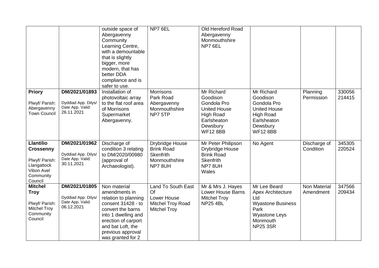|                                                                                                             |                                                                        | outside space of<br>Abergavenny<br>Community<br>Learning Centre,<br>with a demountable<br>that is slightly<br>bigger, more<br>modern, that has<br>better DDA<br>compliance and is<br>safer to use.            | NP7 6EL                                                                                    | Old Hereford Road<br>Abergavenny<br>Monmouthshire<br>NP7 6EL                                                                   |                                                                                                                                            |                           |                  |
|-------------------------------------------------------------------------------------------------------------|------------------------------------------------------------------------|---------------------------------------------------------------------------------------------------------------------------------------------------------------------------------------------------------------|--------------------------------------------------------------------------------------------|--------------------------------------------------------------------------------------------------------------------------------|--------------------------------------------------------------------------------------------------------------------------------------------|---------------------------|------------------|
| <b>Priory</b><br>Plwyf/ Parish:<br>Abergavenny<br><b>Town Council</b>                                       | DM/2021/01893<br>Dyddiad App. Dilys/<br>Date App. Valid:<br>26.11.2021 | Installation of<br>photovoltaic array<br>to the flat roof area<br>of Morrisons<br>Supermarket<br>Abergavenny.                                                                                                 | <b>Morrisons</b><br>Park Road<br>Abergavenny<br>Monmouthshire<br>NP7 5TP                   | Mr Richard<br>Goodison<br>Gondola Pro<br><b>United House</b><br><b>High Road</b><br>Earlsheaton<br>Dewsbury<br><b>WF12 8BB</b> | Mr Richard<br>Goodison<br>Gondola Pro<br><b>United House</b><br>High Road<br>Earlsheaton<br>Dewsbury<br><b>WF12 8BB</b>                    | Planning<br>Permission    | 330056<br>214415 |
| <b>Llantilio</b><br><b>Crossenny</b><br>Plwyf/ Parish:<br>Llangattock<br>Vibon Avel<br>Community<br>Council | DM/2021/01962<br>Dyddiad App. Dilys/<br>Date App. Valid:<br>30.11.2021 | Discharge of<br>condition 3 relating<br>to DM/2020/00980<br>(approval of<br>Archaeologist).                                                                                                                   | <b>Drybridge House</b><br><b>Brink Road</b><br><b>Skenfrith</b><br>Monmouthshire<br>NP78UH | Mr Peter Philipson<br>Drybridge House<br><b>Brink Road</b><br><b>Skenfrith</b><br>NP78UH<br>Wales                              | No Agent                                                                                                                                   | Discharge of<br>Condition | 345305<br>220524 |
| <b>Mitchel</b><br><b>Troy</b><br>Plwyf/ Parish:<br><b>Mitchel Troy</b><br>Community<br>Council              | DM/2021/01805<br>Dyddiad App. Dilys/<br>Date App. Valid:<br>06.12.2021 | Non material<br>amendments in<br>relation to planning<br>consent 31428 - to<br>convert the barns<br>into 1 dwelling and<br>erection of carport<br>and bat Loft, the<br>previous approval<br>was granted for 2 | <b>Land To South East</b><br>Of<br>Lower House<br>Mitchel Troy Road<br><b>Mitchel Troy</b> | Mr & Mrs J. Hayes<br><b>Lower House Barns</b><br><b>Mitchel Troy</b><br><b>NP25 4BL</b>                                        | Mr Lee Beard<br><b>Apex Architecture</b><br>Ltd<br><b>Wyastone Business</b><br>Park<br><b>Wyastone Leys</b><br>Monmouth<br><b>NP25 3SR</b> | Non Material<br>Amendment | 347566<br>209434 |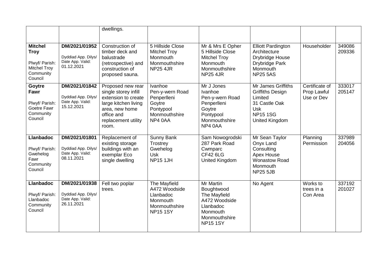|                                                                                                |                                                                        | dwellings.                                                                                                                                               |                                                                                              |                                                                                                                       |                                                                                                                                    |                                             |                  |
|------------------------------------------------------------------------------------------------|------------------------------------------------------------------------|----------------------------------------------------------------------------------------------------------------------------------------------------------|----------------------------------------------------------------------------------------------|-----------------------------------------------------------------------------------------------------------------------|------------------------------------------------------------------------------------------------------------------------------------|---------------------------------------------|------------------|
| <b>Mitchel</b><br><b>Troy</b><br>Plwyf/ Parish:<br><b>Mitchel Troy</b><br>Community<br>Council | DM/2021/01952<br>Dyddiad App. Dilys/<br>Date App. Valid:<br>01.12.2021 | Construction of<br>timber deck and<br>balustrade<br>(retrospective) and<br>construction of<br>proposed sauna.                                            | 5 Hillside Close<br><b>Mitchel Troy</b><br>Monmouth<br>Monmouthshire<br><b>NP25 4JR</b>      | Mr & Mrs E Opher<br>5 Hillside Close<br><b>Mitchel Troy</b><br>Monmouth<br>Monmouthshire<br><b>NP25 4JR</b>           | <b>Elliott Pardington</b><br>Architecture<br>Drybridge House<br>Drybridge Park<br>Monmouth<br><b>NP25 5AS</b>                      | Householder                                 | 349086<br>209336 |
| Goytre<br>Fawr<br>Plwyf/ Parish:<br>Goetre Fawr<br>Community<br>Council                        | DM/2021/01842<br>Dyddiad App. Dilys/<br>Date App. Valid:<br>15.12.2021 | Proposed new rear<br>single storey infill<br>extension to create<br>large kitchen living<br>area, new home<br>office and<br>replacement utility<br>room. | Ivanhoe<br>Pen-y-wern Road<br>Penperlleni<br>Goytre<br>Pontypool<br>Monmouthshire<br>NP4 0AA | Mr J Jones<br>Ivanhoe<br>Pen-y-wern Road<br>Penperlleni<br>Goytre<br>Pontypool<br>Monmouthshire<br>NP4 0AA            | Mr James Griffiths<br><b>Griffiths Design</b><br>Limited<br>31 Castle Oak<br><b>Usk</b><br><b>NP151SG</b><br><b>United Kingdom</b> | Certificate of<br>Prop Lawful<br>Use or Dev | 333017<br>205147 |
| <b>Llanbadoc</b><br>Plwyf/ Parish:<br>Gwehelog<br>Fawr<br>Community<br>Council                 | DM/2021/01801<br>Dyddiad App. Dilys/<br>Date App. Valid:<br>08.11.2021 | Replacement of<br>existing storage<br>buildings with an<br>exemplar Eco<br>single dwelling                                                               | Sunny Bank<br>Trostrey<br>Gwehelog<br><b>Usk</b><br><b>NP15 1JH</b>                          | Sam Nowogrodski<br>287 Park Road<br>Cwmparc<br><b>CF42 6LG</b><br><b>United Kingdom</b>                               | Mr Sean Taylor<br>Onyx Land<br>Consulting<br>Apex House<br><b>Wonastow Road</b><br>Monmouth<br><b>NP25 5JB</b>                     | Planning<br>Permission                      | 337989<br>204056 |
| <b>Llanbadoc</b><br>Plwyf/ Parish:<br>Llanbadoc<br>Community<br>Council                        | DM/2021/01938<br>Dyddiad App. Dilys/<br>Date App. Valid:<br>26.11.2021 | Fell two poplar<br>trees.                                                                                                                                | The Mayfield<br>A472 Woodside<br>Llanbadoc<br>Monmouth<br>Monmouthshire<br><b>NP15 1SY</b>   | Mr Martin<br>Boughtwood<br>The Mayfield<br>A472 Woodside<br>Llanbadoc<br>Monmouth<br>Monmouthshire<br><b>NP15 1SY</b> | No Agent                                                                                                                           | Works to<br>trees in a<br>Con Area          | 337192<br>201027 |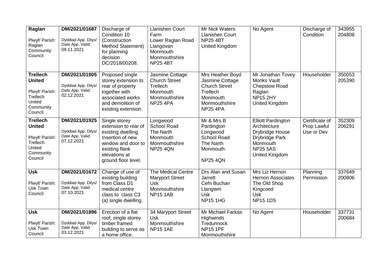| Raglan<br>Plwyf/ Parish:<br>Raglan<br>Community<br>Council                                       | DM/2021/01687<br>Dyddiad App. Dilys/<br>Date App. Valid:<br>09.11.2021 | Discharge of<br>Condition 10<br>(Construction<br><b>Method Statement)</b><br>for planning<br>decision<br>DC/2018/00208.                                         | <b>Llanishen Court</b><br>Farm<br>Lower Raglan Road<br>Llangovan<br>Monmouth<br>Monmouthshire<br><b>NP25 4BT</b> | Mr Nick Waters<br><b>Llanishen Court</b><br><b>NP25 4BT</b><br><b>United Kingdom</b>                                    | No Agent                                                                                                                                             | Discharge of<br>Condition                   | 343955<br>204808 |
|--------------------------------------------------------------------------------------------------|------------------------------------------------------------------------|-----------------------------------------------------------------------------------------------------------------------------------------------------------------|------------------------------------------------------------------------------------------------------------------|-------------------------------------------------------------------------------------------------------------------------|------------------------------------------------------------------------------------------------------------------------------------------------------|---------------------------------------------|------------------|
| <b>Trellech</b><br><b>United</b><br>Plwyf/ Parish:<br>Trellech<br>United<br>Community<br>Council | DM/2021/01905<br>Dyddiad App. Dilys/<br>Date App. Valid:<br>02.12.2021 | Proposed single<br>storey extension to<br>rear of property<br>together with<br>associated works<br>and demolition of<br>existing extension.                     | Jasmine Cottage<br><b>Church Street</b><br>Trellech<br>Monmouth<br>Monmouthshire<br><b>NP25 4PA</b>              | Mrs Heather Boyd<br>Jasmine Cottage<br><b>Church Street</b><br>Trellech<br>Monmouth<br>Monmouthshire<br><b>NP25 4PA</b> | Mr Jonathan Tovey<br>Monks Vault<br><b>Chepstow Road</b><br>Raglan<br><b>NP15 2HY</b><br><b>United Kingdom</b>                                       | Householder                                 | 350053<br>205390 |
| <b>Trellech</b><br><b>United</b><br>Plwyf/ Parish:<br>Trellech<br>United<br>Community<br>Council | DM/2021/01925<br>Dyddiad App. Dilys/<br>Date App. Valid:<br>07.12.2021 | Single storey<br>extension to rear of<br>existing dwelling.<br>Insertion of new<br>window and door to<br>existing flank<br>elevations at<br>ground floor level. | Longwood<br><b>School Road</b><br>The Narth<br>Monmouth<br>Monmouthshire<br><b>NP25 4QN</b>                      | Mr & Mrs B<br>Pardington<br>Longwood<br><b>School Road</b><br>The Narth<br>Monmouth<br><b>NP25 4QN</b>                  | <b>Elliott Pardington</b><br>Architecture<br><b>Drybridge House</b><br><b>Drybridge Park</b><br>Monmouth<br><b>NP25 5AS</b><br><b>United Kingdom</b> | Certificate of<br>Prop Lawful<br>Use or Dev | 352309<br>206291 |
| <b>Usk</b><br>Plwyf/ Parish:<br><b>Usk Town</b><br>Council                                       | DM/2021/01672<br>Dyddiad App. Dilys/<br>Date App. Valid:<br>07.10.2021 | Change of use of<br>existing building<br>from Class D1<br>medical centre<br>class to class C3<br>(a) single dwelling.                                           | The Medical Centre<br><b>Maryport Street</b><br><b>Usk</b><br>Monmouthshire<br><b>NP15 1AB</b>                   | Drs Alan and Susan<br><b>Jarrett</b><br>Cefn Buchan<br>Llangwm<br><b>Usk</b><br><b>NP15 1HG</b>                         | Mrs Liz Hernon<br><b>Hernon Associates</b><br>The Old Shop<br>Kingcoed<br><b>Usk</b><br><b>NP15 1DS</b>                                              | Planning<br>Permission                      | 337649<br>200806 |
| <b>Usk</b><br>Plwyf/ Parish:<br>Usk Town<br>Council                                              | DM/2021/01896<br>Dyddiad App. Dilys/<br>Date App. Valid:<br>03.12.2021 | Erection of a flat<br>roof, single storey<br>timber framed<br>building to serve as<br>a home office.                                                            | 34 Maryport Street<br><b>Usk</b><br>Monmouthshire<br><b>NP15 1AE</b>                                             | Mr Michael Farkas<br>Highwinds<br>Tredunnock<br><b>NP15 1PF</b><br>Monmouthshire                                        | No Agent                                                                                                                                             | Householder                                 | 337731<br>200684 |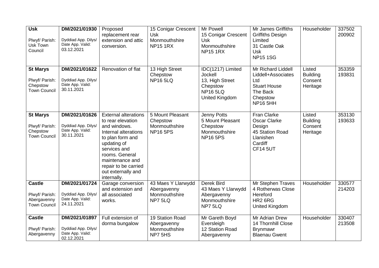| <b>Usk</b><br>Plwyf/ Parish:<br>Usk Town<br>Council                   | DM/2021/01930<br>Dyddiad App. Dilys/<br>Date App. Valid:<br>03.12.2021 | Proposed<br>replacement rear<br>extension and attic<br>conversion.                                                                                                                                                                            | 15 Conigar Crescent<br><b>Usk</b><br>Monmouthshire<br><b>NP15 1RX</b> | Mr Powell<br>15 Conigar Crescent<br><b>Usk</b><br>Monmouthshire<br><b>NP15 1RX</b>                     | Mr James Griffiths<br><b>Griffiths Design</b><br>Limited<br>31 Castle Oak<br><b>Usk</b><br><b>NP151SG</b>         | Householder                                      | 337502<br>200902 |
|-----------------------------------------------------------------------|------------------------------------------------------------------------|-----------------------------------------------------------------------------------------------------------------------------------------------------------------------------------------------------------------------------------------------|-----------------------------------------------------------------------|--------------------------------------------------------------------------------------------------------|-------------------------------------------------------------------------------------------------------------------|--------------------------------------------------|------------------|
| <b>St Marys</b><br>Plwyf/ Parish:<br>Chepstow<br><b>Town Council</b>  | DM/2021/01622<br>Dyddiad App. Dilys/<br>Date App. Valid:<br>30.11.2021 | Renovation of flat                                                                                                                                                                                                                            | 13 High Street<br>Chepstow<br><b>NP16 5LQ</b>                         | IDC(1217) Limited<br><b>Jockell</b><br>13, High Street<br>Chepstow<br><b>NP165LQ</b><br>United Kingdom | Mr Richard Liddell<br>Liddell+Associates<br>Ltd<br><b>Stuart House</b><br>The Back<br>Chepstow<br><b>NP16 5HH</b> | Listed<br><b>Building</b><br>Consent<br>Heritage | 353359<br>193831 |
| <b>St Marys</b><br>Plwyf/ Parish:<br>Chepstow<br><b>Town Council</b>  | DM/2021/01626<br>Dyddiad App. Dilys/<br>Date App. Valid:<br>30.11.2021 | <b>External alterations</b><br>to rear elevation<br>and windows.<br>Internal alterations<br>to plan form and<br>updating of<br>services and<br>rooms. General<br>maintenance and<br>repair to be carried<br>out externally and<br>internally. | 5 Mount Pleasant<br>Chepstow<br>Monmouthshire<br><b>NP16 5PS</b>      | Jenny Potts<br>5 Mount Pleasant<br>Chepstow<br>Monmouthshire<br><b>NP16 5PS</b>                        | Fran Clarke<br><b>Oscar Clarke</b><br>Design<br>45 Station Road<br>Llanishen<br>Cardiff<br><b>CF14 5UT</b>        | Listed<br><b>Building</b><br>Consent<br>Heritage | 353130<br>193633 |
| <b>Castle</b><br>Plwyf/ Parish:<br>Abergavenny<br><b>Town Council</b> | DM/2021/01724<br>Dyddiad App. Dilys/<br>Date App. Valid:<br>24.11.2021 | Garage conversion<br>and extension and<br>all associated<br>works.                                                                                                                                                                            | 43 Maes Y Llarwydd<br>Abergavenny<br>Monmouthshire<br>NP7 5LQ         | Derek Bird<br>43 Maes Y Llarwydd<br>Abergavenny<br>Monmouthshire<br>NP7 5LQ                            | Mr Stephen Traves<br>4 Rotherwas Close<br>Hereford<br>HR <sub>2</sub> 6RG<br>United Kingdom                       | Householder                                      | 330577<br>214203 |
| <b>Castle</b><br>Plwyf/ Parish:<br>Abergavenny                        | DM/2021/01897<br>Dyddiad App. Dilys/<br>Date App. Valid:<br>02.12.2021 | Full extension of<br>dorma bungalow                                                                                                                                                                                                           | 19 Station Road<br>Abergavenny<br>Monmouthshire<br>NP7 5HS            | Mr Gareth Boyd<br>Eversleigh<br>12 Station Road<br>Abergavenny                                         | Mr Adrian Drew<br>14 Thornhill Close<br><b>Brynmawr</b><br><b>Blaenau Gwent</b>                                   | Householder                                      | 330407<br>213508 |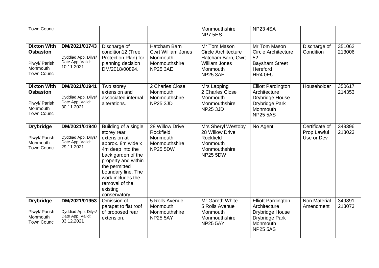| <b>Town Council</b>                                                                        |                                                                        |                                                                                                                                                                                                                                                      |                                                                                           | Monmouthshire<br>NP7 5HS                                                                                                | <b>NP23 4SA</b>                                                                                               |                                             |                  |
|--------------------------------------------------------------------------------------------|------------------------------------------------------------------------|------------------------------------------------------------------------------------------------------------------------------------------------------------------------------------------------------------------------------------------------------|-------------------------------------------------------------------------------------------|-------------------------------------------------------------------------------------------------------------------------|---------------------------------------------------------------------------------------------------------------|---------------------------------------------|------------------|
| <b>Dixton With</b><br><b>Osbaston</b><br>Plwyf/ Parish:<br>Monmouth<br><b>Town Council</b> | DM/2021/01743<br>Dyddiad App. Dilys/<br>Date App. Valid:<br>10.11.2021 | Discharge of<br>condition12 (Tree<br>Protection Plan) for<br>planning decision<br>DM/2018/00894.                                                                                                                                                     | Hatcham Barn<br><b>Cwrt William Jones</b><br>Monmouth<br>Monmouthshire<br><b>NP25 3AE</b> | Mr Tom Mason<br><b>Circle Architecture</b><br>Hatcham Barn, Cwrt<br><b>William Jones</b><br>Monmouth<br><b>NP25 3AE</b> | Mr Tom Mason<br><b>Circle Architecture</b><br>52<br><b>Baysham Street</b><br>Hereford<br>HR4 0EU              | Discharge of<br>Condition                   | 351062<br>213006 |
| <b>Dixton With</b><br><b>Osbaston</b><br>Plwyf/ Parish:<br>Monmouth<br><b>Town Council</b> | DM/2021/01941<br>Dyddiad App. Dilys/<br>Date App. Valid:<br>30.11.2021 | Two storey<br>extension and<br>associated internal<br>alterations.                                                                                                                                                                                   | 2 Charles Close<br>Monmouth<br>Monmouthshire<br><b>NP25 3JD</b>                           | Mrs Lapping<br>2 Charles Close<br>Monmouth<br>Monmouthshire<br><b>NP25 3JD</b>                                          | <b>Elliott Pardington</b><br>Architecture<br>Drybridge House<br>Drybridge Park<br>Monmouth<br><b>NP25 5AS</b> | Householder                                 | 350617<br>214353 |
| <b>Drybridge</b><br>Plwyf/ Parish:<br>Monmouth<br><b>Town Council</b>                      | DM/2021/01940<br>Dyddiad App. Dilys/<br>Date App. Valid:<br>29.11.2021 | Building of a single<br>storey rear<br>extension at<br>approx. 8m wide x<br>4m deep into the<br>back garden of the<br>property and within<br>the permitted<br>boundary line. The<br>work includes the<br>removal of the<br>existing<br>conservatory. | 28 Willow Drive<br>Rockfield<br>Monmouth<br>Monmouthshire<br><b>NP25 5DW</b>              | Mrs Sheryl Westoby<br>28 Willow Drive<br>Rockfield<br>Monmouth<br>Monmouthshire<br><b>NP25 5DW</b>                      | No Agent                                                                                                      | Certificate of<br>Prop Lawful<br>Use or Dev | 349396<br>213023 |
| <b>Drybridge</b><br>Plwyf/ Parish:<br>Monmouth<br><b>Town Council</b>                      | DM/2021/01953<br>Dyddiad App. Dilys/<br>Date App. Valid:<br>03.12.2021 | Omission of<br>parapet to flat roof<br>of proposed rear<br>extension.                                                                                                                                                                                | 5 Rolls Avenue<br>Monmouth<br>Monmouthshire<br><b>NP25 5AY</b>                            | Mr Gareth White<br>5 Rolls Avenue<br>Monmouth<br>Monmouthshire<br><b>NP25 5AY</b>                                       | <b>Elliott Pardington</b><br>Architecture<br>Drybridge House<br>Drybridge Park<br>Monmouth<br><b>NP25 5AS</b> | <b>Non Material</b><br>Amendment            | 349891<br>213073 |